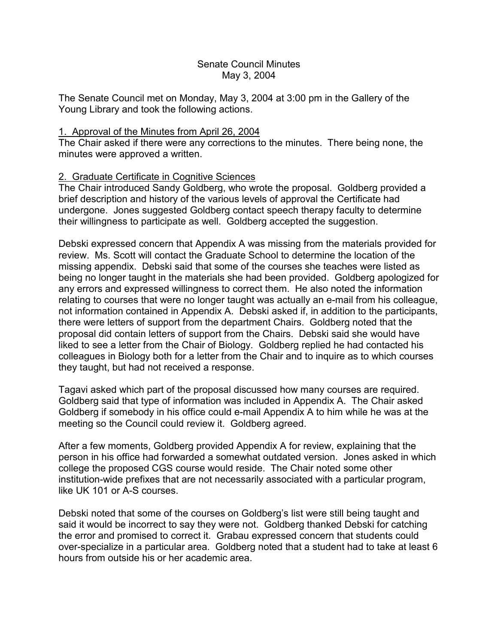#### Senate Council Minutes May 3, 2004

The Senate Council met on Monday, May 3, 2004 at 3:00 pm in the Gallery of the Young Library and took the following actions.

### 1. Approval of the Minutes from April 26, 2004

The Chair asked if there were any corrections to the minutes. There being none, the minutes were approved a written.

# 2. Graduate Certificate in Cognitive Sciences

The Chair introduced Sandy Goldberg, who wrote the proposal. Goldberg provided a brief description and history of the various levels of approval the Certificate had undergone. Jones suggested Goldberg contact speech therapy faculty to determine their willingness to participate as well. Goldberg accepted the suggestion.

Debski expressed concern that Appendix A was missing from the materials provided for review. Ms. Scott will contact the Graduate School to determine the location of the missing appendix. Debski said that some of the courses she teaches were listed as being no longer taught in the materials she had been provided. Goldberg apologized for any errors and expressed willingness to correct them. He also noted the information relating to courses that were no longer taught was actually an e-mail from his colleague, not information contained in Appendix A. Debski asked if, in addition to the participants, there were letters of support from the department Chairs. Goldberg noted that the proposal did contain letters of support from the Chairs. Debski said she would have liked to see a letter from the Chair of Biology. Goldberg replied he had contacted his colleagues in Biology both for a letter from the Chair and to inquire as to which courses they taught, but had not received a response.

Tagavi asked which part of the proposal discussed how many courses are required. Goldberg said that type of information was included in Appendix A. The Chair asked Goldberg if somebody in his office could e-mail Appendix A to him while he was at the meeting so the Council could review it. Goldberg agreed.

After a few moments, Goldberg provided Appendix A for review, explaining that the person in his office had forwarded a somewhat outdated version. Jones asked in which college the proposed CGS course would reside. The Chair noted some other institution-wide prefixes that are not necessarily associated with a particular program, like UK 101 or A-S courses.

Debski noted that some of the courses on Goldberg's list were still being taught and said it would be incorrect to say they were not. Goldberg thanked Debski for catching the error and promised to correct it. Grabau expressed concern that students could over-specialize in a particular area. Goldberg noted that a student had to take at least 6 hours from outside his or her academic area.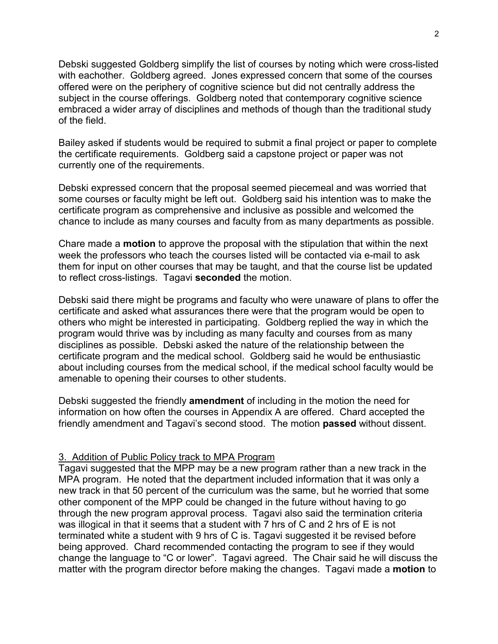Debski suggested Goldberg simplify the list of courses by noting which were cross-listed with eachother. Goldberg agreed. Jones expressed concern that some of the courses offered were on the periphery of cognitive science but did not centrally address the subject in the course offerings. Goldberg noted that contemporary cognitive science embraced a wider array of disciplines and methods of though than the traditional study of the field.

Bailey asked if students would be required to submit a final project or paper to complete the certificate requirements. Goldberg said a capstone project or paper was not currently one of the requirements.

Debski expressed concern that the proposal seemed piecemeal and was worried that some courses or faculty might be left out. Goldberg said his intention was to make the certificate program as comprehensive and inclusive as possible and welcomed the chance to include as many courses and faculty from as many departments as possible.

Chare made a **motion** to approve the proposal with the stipulation that within the next week the professors who teach the courses listed will be contacted via e-mail to ask them for input on other courses that may be taught, and that the course list be updated to reflect cross-listings. Tagavi **seconded** the motion.

Debski said there might be programs and faculty who were unaware of plans to offer the certificate and asked what assurances there were that the program would be open to others who might be interested in participating. Goldberg replied the way in which the program would thrive was by including as many faculty and courses from as many disciplines as possible. Debski asked the nature of the relationship between the certificate program and the medical school. Goldberg said he would be enthusiastic about including courses from the medical school, if the medical school faculty would be amenable to opening their courses to other students.

Debski suggested the friendly **amendment** of including in the motion the need for information on how often the courses in Appendix A are offered. Chard accepted the friendly amendment and Tagavi's second stood. The motion **passed** without dissent.

# 3. Addition of Public Policy track to MPA Program

Tagavi suggested that the MPP may be a new program rather than a new track in the MPA program. He noted that the department included information that it was only a new track in that 50 percent of the curriculum was the same, but he worried that some other component of the MPP could be changed in the future without having to go through the new program approval process. Tagavi also said the termination criteria was illogical in that it seems that a student with 7 hrs of C and 2 hrs of E is not terminated white a student with 9 hrs of C is. Tagavi suggested it be revised before being approved. Chard recommended contacting the program to see if they would change the language to "C or lower". Tagavi agreed. The Chair said he will discuss the matter with the program director before making the changes. Tagavi made a **motion** to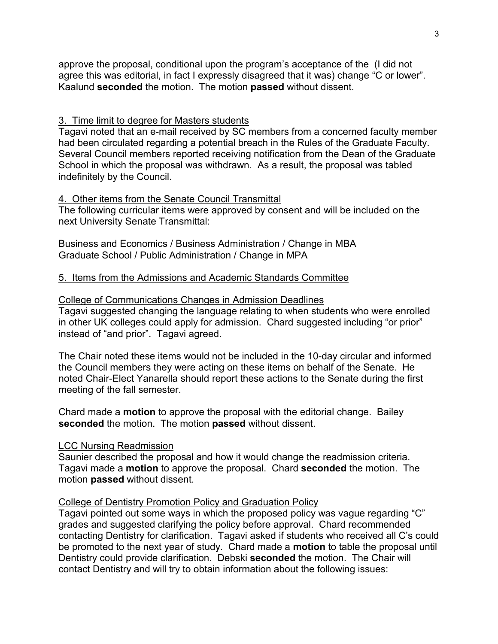approve the proposal, conditional upon the program's acceptance of the (I did not agree this was editorial, in fact I expressly disagreed that it was) change "C or lower". Kaalund **seconded** the motion. The motion **passed** without dissent.

### 3. Time limit to degree for Masters students

Tagavi noted that an e-mail received by SC members from a concerned faculty member had been circulated regarding a potential breach in the Rules of the Graduate Faculty. Several Council members reported receiving notification from the Dean of the Graduate School in which the proposal was withdrawn. As a result, the proposal was tabled indefinitely by the Council.

## 4. Other items from the Senate Council Transmittal

The following curricular items were approved by consent and will be included on the next University Senate Transmittal:

Business and Economics / Business Administration / Change in MBA Graduate School / Public Administration / Change in MPA

## 5. Items from the Admissions and Academic Standards Committee

### College of Communications Changes in Admission Deadlines

Tagavi suggested changing the language relating to when students who were enrolled in other UK colleges could apply for admission. Chard suggested including "or prior" instead of "and prior". Tagavi agreed.

The Chair noted these items would not be included in the 10-day circular and informed the Council members they were acting on these items on behalf of the Senate. He noted Chair-Elect Yanarella should report these actions to the Senate during the first meeting of the fall semester.

Chard made a **motion** to approve the proposal with the editorial change. Bailey **seconded** the motion. The motion **passed** without dissent.

### LCC Nursing Readmission

Saunier described the proposal and how it would change the readmission criteria. Tagavi made a **motion** to approve the proposal. Chard **seconded** the motion. The motion **passed** without dissent.

# College of Dentistry Promotion Policy and Graduation Policy

Tagavi pointed out some ways in which the proposed policy was vague regarding "C" grades and suggested clarifying the policy before approval. Chard recommended contacting Dentistry for clarification. Tagavi asked if students who received all C's could be promoted to the next year of study. Chard made a **motion** to table the proposal until Dentistry could provide clarification. Debski **seconded** the motion. The Chair will contact Dentistry and will try to obtain information about the following issues: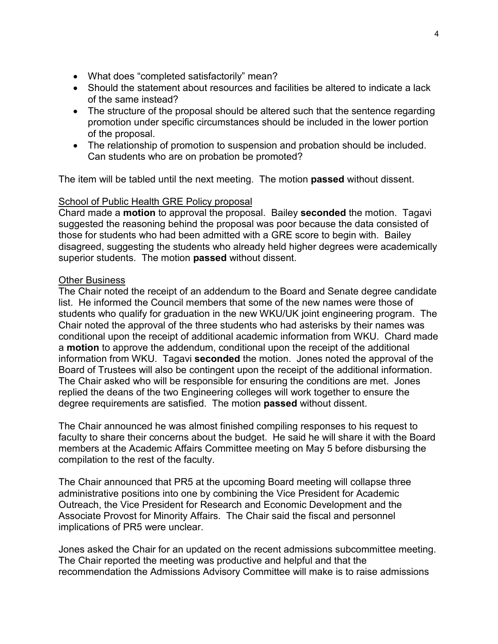- What does "completed satisfactorily" mean?
- Should the statement about resources and facilities be altered to indicate a lack of the same instead?
- The structure of the proposal should be altered such that the sentence regarding promotion under specific circumstances should be included in the lower portion of the proposal.
- The relationship of promotion to suspension and probation should be included. Can students who are on probation be promoted?

The item will be tabled until the next meeting. The motion **passed** without dissent.

#### School of Public Health GRE Policy proposal

Chard made a **motion** to approval the proposal. Bailey **seconded** the motion. Tagavi suggested the reasoning behind the proposal was poor because the data consisted of those for students who had been admitted with a GRE score to begin with. Bailey disagreed, suggesting the students who already held higher degrees were academically superior students. The motion **passed** without dissent.

#### Other Business

The Chair noted the receipt of an addendum to the Board and Senate degree candidate list. He informed the Council members that some of the new names were those of students who qualify for graduation in the new WKU/UK joint engineering program. The Chair noted the approval of the three students who had asterisks by their names was conditional upon the receipt of additional academic information from WKU. Chard made a **motion** to approve the addendum, conditional upon the receipt of the additional information from WKU. Tagavi **seconded** the motion. Jones noted the approval of the Board of Trustees will also be contingent upon the receipt of the additional information. The Chair asked who will be responsible for ensuring the conditions are met. Jones replied the deans of the two Engineering colleges will work together to ensure the degree requirements are satisfied. The motion **passed** without dissent.

The Chair announced he was almost finished compiling responses to his request to faculty to share their concerns about the budget. He said he will share it with the Board members at the Academic Affairs Committee meeting on May 5 before disbursing the compilation to the rest of the faculty.

The Chair announced that PR5 at the upcoming Board meeting will collapse three administrative positions into one by combining the Vice President for Academic Outreach, the Vice President for Research and Economic Development and the Associate Provost for Minority Affairs. The Chair said the fiscal and personnel implications of PR5 were unclear.

Jones asked the Chair for an updated on the recent admissions subcommittee meeting. The Chair reported the meeting was productive and helpful and that the recommendation the Admissions Advisory Committee will make is to raise admissions